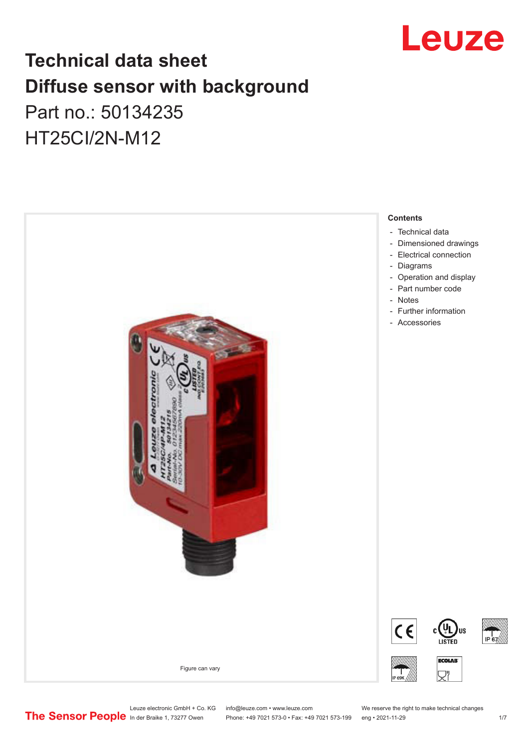

# **Technical data sheet Diffuse sensor with background**  Part no.: 50134235

HT25CI/2N-M12



Phone: +49 7021 573-0 • Fax: +49 7021 573-199 eng • 2021-11-29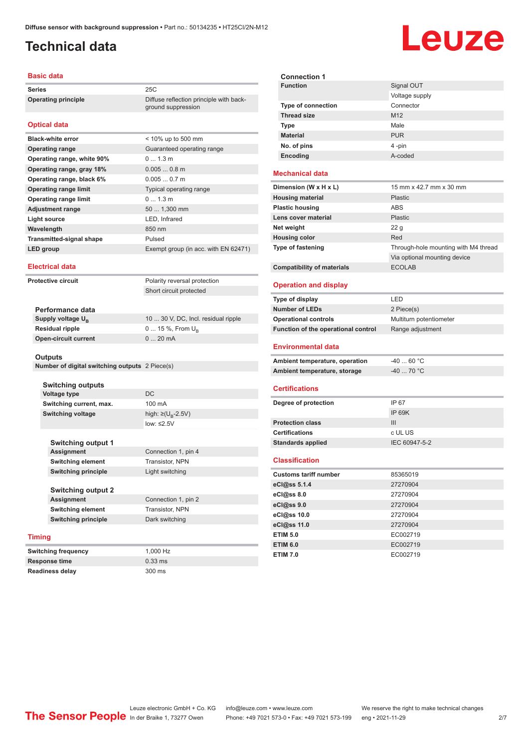ground suppression

## <span id="page-1-0"></span>**Technical data**

#### **Basic data**

**Series** 25C **Operating principle** Diffuse reflection principle with back-

#### **Optical data**

| <b>Black-white error</b>        | $<$ 10% up to 500 mm                 |
|---------------------------------|--------------------------------------|
| <b>Operating range</b>          | Guaranteed operating range           |
| Operating range, white 90%      | 0 1.3 m                              |
| Operating range, gray 18%       | $0.0050.8$ m                         |
| Operating range, black 6%       | $0.0050.7$ m                         |
| <b>Operating range limit</b>    | Typical operating range              |
| <b>Operating range limit</b>    | $01.3$ m                             |
| <b>Adjustment range</b>         | 50  1,300 mm                         |
| Light source                    | LED, Infrared                        |
| Wavelength                      | 850 nm                               |
| <b>Transmitted-signal shape</b> | Pulsed                               |
| LED group                       | Exempt group (in acc. with EN 62471) |

#### **Electrical data**

**Protective circuit** Polarity reversal protection

Short circuit protected

| Performance data              |                                     |
|-------------------------------|-------------------------------------|
| Supply voltage U <sub>p</sub> | 10  30 V, DC, Incl. residual ripple |
| <b>Residual ripple</b>        | $0 15 \%$ , From $U_{p}$            |
| <b>Open-circuit current</b>   | $020$ mA                            |
|                               |                                     |

#### **Outputs**

**Number of digital switching outputs** 2 Piece(s)

|               | <b>Switching outputs</b>   |                                    |
|---------------|----------------------------|------------------------------------|
|               | Voltage type               | DC                                 |
|               | Switching current, max.    | 100 mA                             |
|               | <b>Switching voltage</b>   | high: $\geq (U_{\text{B}} - 2.5V)$ |
|               |                            | low: $\leq 2.5V$                   |
|               |                            |                                    |
|               | <b>Switching output 1</b>  |                                    |
|               | <b>Assignment</b>          | Connection 1, pin 4                |
|               | <b>Switching element</b>   | Transistor, NPN                    |
|               | <b>Switching principle</b> | Light switching                    |
|               |                            |                                    |
|               | <b>Switching output 2</b>  |                                    |
|               | Assignment                 | Connection 1, pin 2                |
|               | <b>Switching element</b>   | Transistor, NPN                    |
|               | <b>Switching principle</b> | Dark switching                     |
|               |                            |                                    |
| <b>Timing</b> |                            |                                    |
|               | <b>Switching frequency</b> | 1.000 Hz                           |
|               |                            |                                    |

**Response time** 0.33 ms **Readiness delay** 300 ms

| <b>Connection 1</b>       |                 |
|---------------------------|-----------------|
| <b>Function</b>           | Signal OUT      |
|                           | Voltage supply  |
| <b>Type of connection</b> | Connector       |
| <b>Thread size</b>        | M <sub>12</sub> |
| Type                      | Male            |
| <b>Material</b>           | <b>PUR</b>      |
| No. of pins               | 4-pin           |
| Encoding                  | A-coded         |
|                           |                 |
| <b>Mechanical data</b>    |                 |

| Dimension (W x H x L)             | 15 mm x 42.7 mm x 30 mm              |
|-----------------------------------|--------------------------------------|
| <b>Housing material</b>           | <b>Plastic</b>                       |
| <b>Plastic housing</b>            | ABS                                  |
| Lens cover material               | <b>Plastic</b>                       |
| Net weight                        | 22 <sub>g</sub>                      |
| <b>Housing color</b>              | Red                                  |
| <b>Type of fastening</b>          | Through-hole mounting with M4 thread |
|                                   | Via optional mounting device         |
| <b>Compatibility of materials</b> | <b>ECOLAB</b>                        |

### **Operation and display**

| Type of display                     | I FD                    |
|-------------------------------------|-------------------------|
| <b>Number of LEDs</b>               | 2 Piece(s)              |
| <b>Operational controls</b>         | Multiturn potentiometer |
| Function of the operational control | Range adjustment        |
| <b>Environmental data</b>           |                         |
| Ambient temperature, operation      | $-4060 °C$              |
| Ambient temperature, storage        | $-40$ 70 °C             |

#### **Certifications**

| Degree of protection     | IP 67         |
|--------------------------|---------------|
|                          | IP 69K        |
| <b>Protection class</b>  | Ш             |
| <b>Certifications</b>    | c UL US       |
| <b>Standards applied</b> | IEC 60947-5-2 |
|                          |               |

#### **Classification**

| <b>Customs tariff number</b> | 85365019 |
|------------------------------|----------|
| eCl@ss 5.1.4                 | 27270904 |
| eCl@ss 8.0                   | 27270904 |
| eCl@ss 9.0                   | 27270904 |
| eCl@ss 10.0                  | 27270904 |
| eCl@ss 11.0                  | 27270904 |
| <b>ETIM 5.0</b>              | EC002719 |
| <b>ETIM 6.0</b>              | EC002719 |
| <b>ETIM 7.0</b>              | EC002719 |

# Leuze electronic GmbH + Co. KG info@leuze.com • www.leuze.com We reserve the right to make technical changes<br>
The Sensor People in der Braike 1, 73277 Owen Phone: +49 7021 573-0 • Fax: +49 7021 573-199 eng • 2021-11-29

Phone: +49 7021 573-0 • Fax: +49 7021 573-199 eng • 2021-11-29 27

# Leuze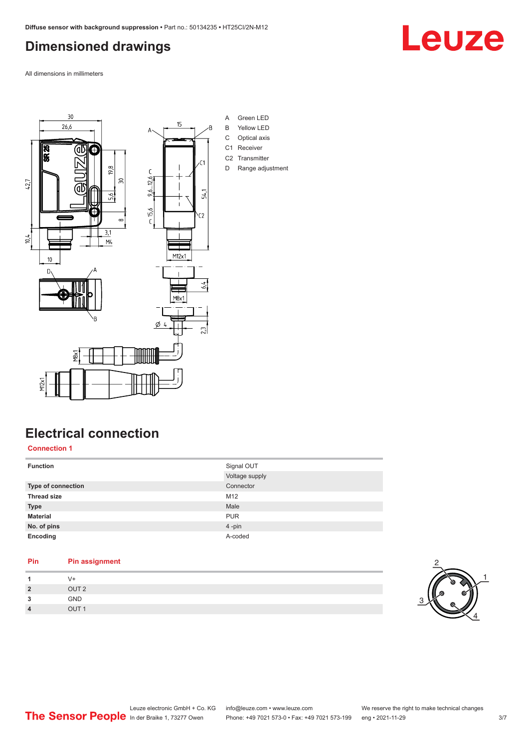## <span id="page-2-0"></span>**Dimensioned drawings**

All dimensions in millimeters



## **Electrical connection**

**Connection 1**

| <b>Function</b>    | Signal OUT     |
|--------------------|----------------|
|                    | Voltage supply |
| Type of connection | Connector      |
| <b>Thread size</b> | M12            |
| <b>Type</b>        | Male           |
| <b>Material</b>    | <b>PUR</b>     |
| No. of pins        | 4-pin          |
| Encoding           | A-coded        |
|                    |                |

### **Pin Pin assignment** 1 V+<br>2 OU **2** OUT 2





# Leuze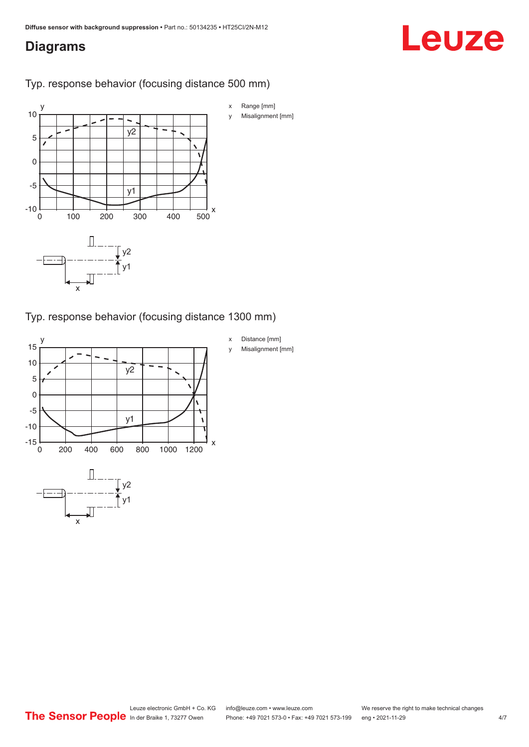## <span id="page-3-0"></span>**Diagrams**

# Leuze

### Typ. response behavior (focusing distance 500 mm)



Typ. response behavior (focusing distance 1300 mm)

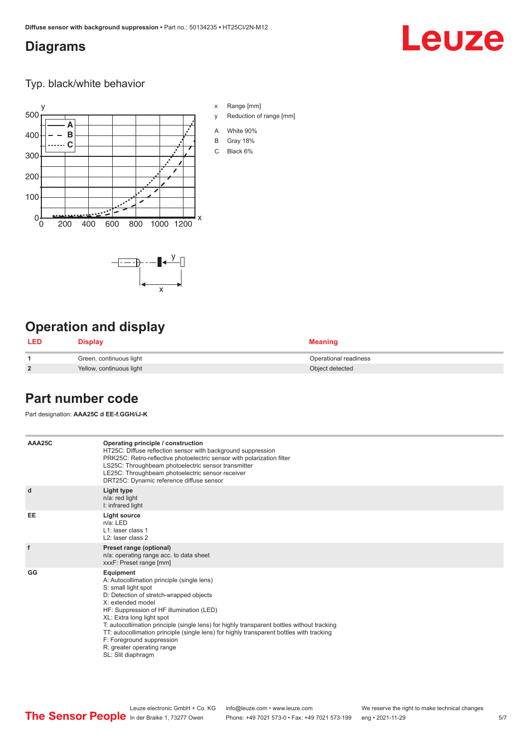## <span id="page-4-0"></span>**Diagrams**

# Leuze

Typ. black/white behavior





## **Operation and display**

| <b>LED</b>     | <b>Display</b>           | <b>Meaning</b>        |
|----------------|--------------------------|-----------------------|
|                | Green, continuous light  | Operational readiness |
| $\overline{2}$ | Yellow, continuous light | Object detected       |

## **Part number code**

Part designation: **AAA25C d EE-f.GGH/iJ-K**

| AAA25C | Operating principle / construction<br>HT25C: Diffuse reflection sensor with background suppression<br>PRK25C: Retro-reflective photoelectric sensor with polarization filter<br>LS25C: Throughbeam photoelectric sensor transmitter<br>LE25C: Throughbeam photoelectric sensor receiver<br>DRT25C: Dynamic reference diffuse sensor                                                                                                                                                                |
|--------|----------------------------------------------------------------------------------------------------------------------------------------------------------------------------------------------------------------------------------------------------------------------------------------------------------------------------------------------------------------------------------------------------------------------------------------------------------------------------------------------------|
| d      | Light type<br>n/a: red light<br>I: infrared light                                                                                                                                                                                                                                                                                                                                                                                                                                                  |
| EE     | Light source<br>$n/a$ : LED<br>L1: laser class 1<br>L <sub>2</sub> : laser class 2                                                                                                                                                                                                                                                                                                                                                                                                                 |
| f      | Preset range (optional)<br>n/a: operating range acc. to data sheet<br>xxxF: Preset range [mm]                                                                                                                                                                                                                                                                                                                                                                                                      |
| GG     | Equipment<br>A: Autocollimation principle (single lens)<br>S: small light spot<br>D: Detection of stretch-wrapped objects<br>X: extended model<br>HF: Suppression of HF illumination (LED)<br>XL: Extra long light spot<br>T: autocollimation principle (single lens) for highly transparent bottles without tracking<br>TT: autocollimation principle (single lens) for highly transparent bottles with tracking<br>F: Foreground suppression<br>R: greater operating range<br>SL: Slit diaphragm |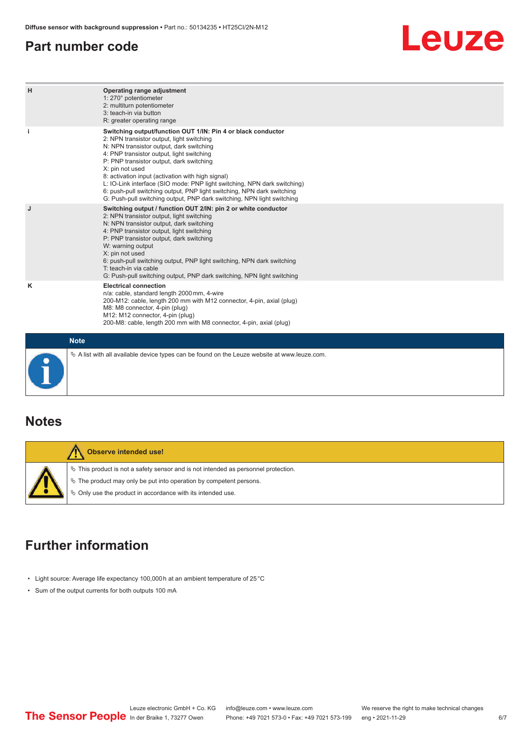## <span id="page-5-0"></span>**Part number code**

# Leuze

| н           | Operating range adjustment<br>1: 270° potentiometer<br>2: multiturn potentiometer<br>3: teach-in via button<br>R: greater operating range                                                                                                                                                                                                                                                                                                                                                                                                              |
|-------------|--------------------------------------------------------------------------------------------------------------------------------------------------------------------------------------------------------------------------------------------------------------------------------------------------------------------------------------------------------------------------------------------------------------------------------------------------------------------------------------------------------------------------------------------------------|
|             | Switching output/function OUT 1/IN: Pin 4 or black conductor<br>2: NPN transistor output, light switching<br>N: NPN transistor output, dark switching<br>4: PNP transistor output, light switching<br>P: PNP transistor output, dark switching<br>X: pin not used<br>8: activation input (activation with high signal)<br>L: IO-Link interface (SIO mode: PNP light switching, NPN dark switching)<br>6: push-pull switching output, PNP light switching, NPN dark switching<br>G: Push-pull switching output, PNP dark switching, NPN light switching |
| J           | Switching output / function OUT 2/IN: pin 2 or white conductor<br>2: NPN transistor output, light switching<br>N: NPN transistor output, dark switching<br>4: PNP transistor output, light switching<br>P: PNP transistor output, dark switching<br>W: warning output<br>X: pin not used<br>6: push-pull switching output, PNP light switching, NPN dark switching<br>T: teach-in via cable<br>G: Push-pull switching output, PNP dark switching, NPN light switching                                                                                  |
| κ           | <b>Electrical connection</b><br>n/a: cable, standard length 2000 mm, 4-wire<br>200-M12: cable, length 200 mm with M12 connector, 4-pin, axial (plug)<br>M8: M8 connector, 4-pin (plug)<br>M12: M12 connector, 4-pin (plug)<br>200-M8: cable, length 200 mm with M8 connector, 4-pin, axial (plug)                                                                                                                                                                                                                                                      |
| <b>Note</b> |                                                                                                                                                                                                                                                                                                                                                                                                                                                                                                                                                        |

**Notes**

| Observe intended use!                                                                                                                                                                                                         |
|-------------------------------------------------------------------------------------------------------------------------------------------------------------------------------------------------------------------------------|
| $\%$ This product is not a safety sensor and is not intended as personnel protection.<br>$\%$ The product may only be put into operation by competent persons.<br>♦ Only use the product in accordance with its intended use. |

 $\%$  A list with all available device types can be found on the Leuze website at www.leuze.com.

## **Further information**

- Light source: Average life expectancy 100,000 h at an ambient temperature of 25 °C
- Sum of the output currents for both outputs 100 mA